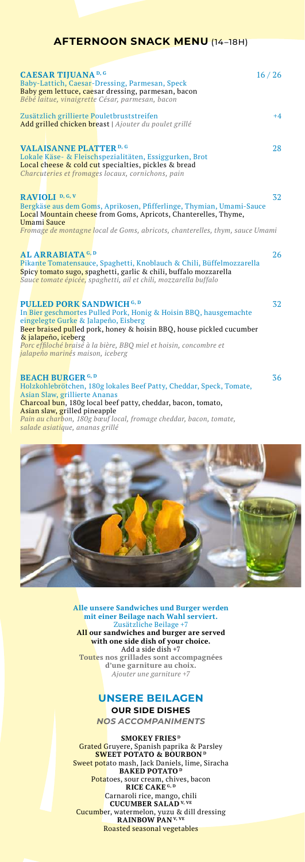## **AFTERNOON SNACK MENU** (14–18H)

| <b>CAESAR TIJUANA</b> D, G<br>16/26<br>Baby-Lattich, Caesar-Dressing, Parmesan, Speck<br>Baby gem lettuce, caesar dressing, parmesan, bacon<br>Bébé laitue, vinaigrette César, parmesan, bacon                                                                                                                                                         |      |
|--------------------------------------------------------------------------------------------------------------------------------------------------------------------------------------------------------------------------------------------------------------------------------------------------------------------------------------------------------|------|
| Zusätzlich grillierte Pouletbruststreifen<br>Add grilled chicken breast   Ajouter du poulet grillé                                                                                                                                                                                                                                                     | $+4$ |
| <b>VALAISANNE PLATTER</b> D, G<br>Lokale Käse- & Fleischspezialitäten, Essiggurken, Brot<br>Local cheese & cold cut specialties, pickles & bread<br>Charcuteries et fromages locaux, cornichons, pain                                                                                                                                                  | 28   |
| RAVIOLI <sup>D, G, V</sup><br>Bergkäse aus dem Goms, Aprikosen, Pfifferlinge, Thymian, Umami-Sauce<br>Local Mountain cheese from Goms, Apricots, Chanterelles, Thyme,<br>Umami Sauce                                                                                                                                                                   | 32   |
| Fromage de montagne local de Goms, abricots, chanterelles, thym, sauce Umami                                                                                                                                                                                                                                                                           |      |
| AL ARRABIATA G, D<br>Pikante Tomatensauce, Spaghetti, Knoblauch & Chili, Büffelmozzarella<br>Spicy tomato sugo, spaghetti, garlic & chili, buffalo mozzarella<br>Sauce tomate épicée, spaghetti, ail et chili, mozzarella buffalo                                                                                                                      | 26   |
| <b>PULLED PORK SANDWICH G, D</b><br>In Bier geschmortes Pulled Pork, Honig & Hoisin BBO, hausgemachte<br>eingelegte Gurke & Jalapeño, Eisberg<br>Beer braised pulled pork, honey & hoisin BBQ, house pickled cucumber<br>& jalapeño, iceberg<br>Porc effiloché braisé à la bière, BBO miel et hoisin, concombre et<br>jalapeño marinés maison, iceberg | 32   |
| <b>BEACH BURGER G, D</b><br>Holzkohlebrötchen, 180g lokales Beef Patty, Cheddar, Speck, Tomate,<br>Asian Slaw, grillierte Ananas                                                                                                                                                                                                                       | 36   |

Charcoal bun, 180g local beef patty, cheddar, bacon, tomato, Asian slaw, grilled pineapple *Pain au charbon, 180g bœuf local, fromage cheddar, bacon, tomate, salade asiatique, ananas grillé*



**Alle unsere Sandwiches und Burger werden mit einer Beilage nach Wahl serviert.**  Zusätzliche Beilage +7 **All our sandwiches and burger are served with one side dish of your choice.** Add a side dish +7 **Toutes nos grillades sont accompagnées d'une garniture au choix.**  *Ajouter une garniture +7*

# **UNSERE BEILAGEN**

**OUR SIDE DISHES**

*NOS ACCOMPANIMENTS*

**SMOKEY FRIES**<sup>D</sup>

Grated Gruyere, Spanish paprika & Parsley **SWEET POTATO & BOURBON D** Sweet potato mash, Jack Daniels, lime, Siracha **BAKED POTATO D** Pota</mark>toes, sour cream, chives, bacon<br>**RICE CAKE** <sup>G, D</sup> Carnaroli rice, mango, chili **CUCUMBER SALAD V, VE** Cucumber, watermelon, yuzu & dill dressing **RAINBOW PAN V, VE** Roasted seasonal vegetables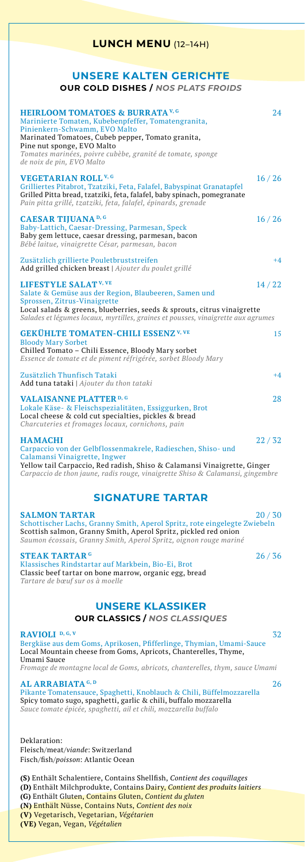## **LUNCH MENU** (12–14H)

## **UNSERE KALTEN GERICHTE OUR COLD DISHES /** *NOS PLATS FROIDS*

| <b>HEIRLOOM TOMATOES &amp; BURRATA V.G</b><br>Marinierte Tomaten, Kubebenpfeffer, Tomatengranita,<br>Pinienkern-Schwamm, EVO Malto<br>Marinated Tomatoes, Cubeb pepper, Tomato granita,<br>Pine nut sponge, EVO Malto<br>Tomates marinées, poivre cubèbe, granité de tomate, sponge<br>de noix de pin, EVO Malto | 2.4   |
|------------------------------------------------------------------------------------------------------------------------------------------------------------------------------------------------------------------------------------------------------------------------------------------------------------------|-------|
| <b>VEGETARIAN ROLL V, G</b><br>Grilliertes Pitabrot, Tzatziki, Feta, Falafel, Babyspinat Granatapfel<br>Grilled Pitta bread, tzatziki, feta, falafel, baby spinach, pomegranate<br>Pain pitta grillé, tzatziki, feta, falafel, épinards, grenade                                                                 | 16/26 |
| <b>CAESAR TIJUANA</b> D, G<br>Baby-Lattich, Caesar-Dressing, Parmesan, Speck<br>Baby gem lettuce, caesar dressing, parmesan, bacon<br>Bébé laitue, vinaigrette César, parmesan, bacon                                                                                                                            | 16/26 |
| Zusätzlich grillierte Pouletbruststreifen<br>Add grilled chicken breast   Ajouter du poulet grillé                                                                                                                                                                                                               | $+4$  |
| <b>LIFESTYLE SALAT V, VE</b><br>Salate & Gemüse aus der Region, Blaubeeren, Samen und<br>Sprossen, Zitrus-Vinaigrette<br>Local salads & greens, blueberries, seeds & sprouts, citrus vinaigrette<br>Salades et légumes locaux, myrtilles, graines et pousses, vinaigrette aux agrumes                            | 14/22 |
| <b>GEKÜHLTE TOMATEN-CHILI ESSENZ V, VE</b><br><b>Bloody Mary Sorbet</b><br>Chilled Tomato - Chili Essence, Bloody Mary sorbet<br>Essence de tomate et de piment réfrigérée, sorbet Bloody Mary                                                                                                                   | 15    |
| Zusätzlich Thunfisch Tataki<br>Add tuna tataki   Ajouter du thon tataki                                                                                                                                                                                                                                          | $+4$  |
| <b>VALAISANNE PLATTER D, G</b><br>Lokale Käse- & Fleischspezialitäten, Essiggurken, Brot<br>Local cheese & cold cut specialties, pickles & bread<br>Charcuteries et fromages locaux, cornichons, pain                                                                                                            | 28    |
| <b>HAMACHI</b><br>Carpaccio von der Gelbflossenmakrele, Radieschen, Shiso- und<br>Calamansi Vinaigrette, Ingwer<br>Yellow tail Carpaccio, Red radish, Shiso & Calamansi Vinaigrette, Ginger                                                                                                                      | 22/32 |

*Carpaccio de thon jaune, radis rouge, vinaigrette Shiso & Calamansi, gingembre* 

# **SIGNATURE TARTAR**

**SALMON TARTAR** 20 / 30 Schottischer Lachs, Granny Smith, Aperol Spritz, rote eingelegte Zwiebeln Scottish salmon, Granny Smith, Aperol Spritz, pickled red onion *Saumon écossais, Granny Smith, Aperol Spritz, oignon rouge mariné* 

**STEAK TARTAR G** 26/36 Klassisches Rindstartar auf Markbein, Bio-Ei, Brot Classic beef tartar on bone marrow, organic egg, bread *Tartare de bœuf sur os à moelle* 

## **UNSERE KLASSIKER**

**OUR CLASSICS /** *NOS CLASSIQUES*

**RAVIOLI D, G, V** 32 Bergkäse aus dem Goms, Aprikosen, Pfifferlinge, Thymian, Umami-Sauce Local Mountain cheese from Goms, Apricots, Chanterelles, Thyme, Umami Sauce *Fromage de montagne local de Goms, abricots, chanterelles, thym, sauce Umami* 

**AL ARRABIATA<sup>G, D</sup>** 26 Pikante Tomatensauce, Spaghetti, Knoblauch & Chili, Büffelmozzarella Spicy tomato sugo, spaghetti, garlic & chili, buffalo mozzarella *Sauce tomate épicée, spaghetti, ail et chili, mozzarella buffalo*

Deklaration: Fleisch/meat/*viande*: Switzerland Fisch/fish/*poisson*: Atlantic Ocean

**(S)** Enthält Schalentiere, Contains Shellfish, *Contient des coquillages* **(D)** Enthält Milchprodukte, Contains Dairy, *Contient des produits laitiers* **(G)** Enthält Gluten, Contains Gluten, *Contient du gluten* **(N)** Enthält Nüsse, Contains Nuts, *Contient des noix* **(V)** Vegetarisch, Vegetarian, *Végétarien* **(VE)** Vegan, Vegan, *Végétalien*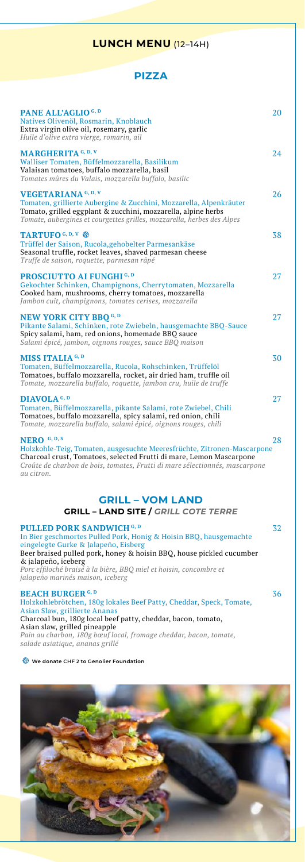# **LUNCH MENU** (12–14H)

## **PIZZA**

| <b>PANE ALL'AGLIO</b> <sup>G, D</sup><br>Natives Olivenöl, Rosmarin, Knoblauch<br>Extra virgin olive oil, rosemary, garlic<br>Huile d'olive extra vierge, romarin, ail                                                                                                                                                 | 20 |
|------------------------------------------------------------------------------------------------------------------------------------------------------------------------------------------------------------------------------------------------------------------------------------------------------------------------|----|
| <b>MARGHERITA</b> G, D, V<br>Walliser Tomaten, Büffelmozzarella, Basilikum<br>Valaisan tomatoes, buffalo mozzarella, basil<br>Tomates mûres du Valais, mozzarella buffalo, basilic                                                                                                                                     | 24 |
| <b>VEGETARIANA</b> G, D, V<br>Tomaten, grillierte Aubergine & Zucchini, Mozzarella, Alpenkräuter<br>Tomato, grilled eggplant & zucchini, mozzarella, alpine herbs<br>Tomate, aubergines et courgettes grilles, mozzarella, herbes des Alpes                                                                            | 26 |
| <b>TARTUFO</b> G, D, V<br>Trüffel der Saison, Rucola, gehobelter Parmesankäse<br>Seasonal truffle, rocket leaves, shaved parmesan cheese<br>Truffe de saison, roquette, parmesan râpé                                                                                                                                  | 38 |
| PROSCIUTTO AI FUNGHI G, D<br>Gekochter Schinken, Champignons, Cherrytomaten, Mozzarella<br>Cooked ham, mushrooms, cherry tomatoes, mozzarella<br>Jambon cuit, champignons, tomates cerises, mozzarella                                                                                                                 | 27 |
| <b>NEW YORK CITY BBO</b> <sub>G, D</sub><br>Pikante Salami, Schinken, rote Zwiebeln, hausgemachte BBQ-Sauce<br>Spicy salami, ham, red onions, homemade BBQ sauce<br>Salami épicé, jambon, oignons rouges, sauce BBQ maison                                                                                             | 27 |
| MISS ITALIA <sup>G, D</sup><br>Tomaten, Büffelmozzarella, Rucola, Rohschinken, Trüffelöl<br>Tomatoes, buffalo mozzarella, rocket, air dried ham, truffle oil<br>Tomate, mozzarella buffalo, roquette, jambon cru, huile de truffe                                                                                      | 30 |
| DIAVOLA <sup>G, D</sup><br>Tomaten, Büffelmozzarella, pikante Salami, rote Zwiebel, Chili<br>Tomatoes, buffalo mozzarella, spicy salami, red onion, chili<br>Tomate, mozzarella buffalo, salami épicé, oignons rouges, chili                                                                                           | 27 |
| NERO G, D, S<br>Holzkohle-Teig, Tomaten, ausgesuchte Meeresfrüchte, Zitronen-Mascarpone<br>Charcoal crust, Tomatoes, selected Frutti di mare, Lemon Mascarpone<br>Croûte de charbon de bois, tomates, Frutti di mare sélectionnés, mascarpone<br>au citron.                                                            | 28 |
| <b>GRILL - VOM LAND</b><br><b>GRILL - LAND SITE / GRILL COTE TERRE</b>                                                                                                                                                                                                                                                 |    |
| PULLED PORK SANDWICH <sup>G, D</sup><br>In Bier geschmortes Pulled Pork, Honig & Hoisin BBQ, hausgemachte<br>eingelegte Gurke & Jalapeño, Eisberg<br>Beer braised pulled pork, honey & hoisin BBQ, house pickled cucumber<br>& jalapeño, iceberg<br>Porc effiloché braisé à la bière, BBQ miel et hoisin, concombre et | 32 |

*jalapeño marinés maison, iceberg* 

# **BEACH BURGER G, D** 36 Holzkohlebrötchen, 180g lokales Beef Patty, Cheddar, Speck, Tomate, Asian Slaw, grillierte Ananas

### Charcoal bun, 180g local beef patty, cheddar, bacon, tomato, Asian slaw, grilled pineapple *Pain au charbon, 180g bœuf local, fromage cheddar, bacon, tomate,*

*salade asiatique, ananas grillé*

### **We donate CHF 2 to Genolier Foundation**

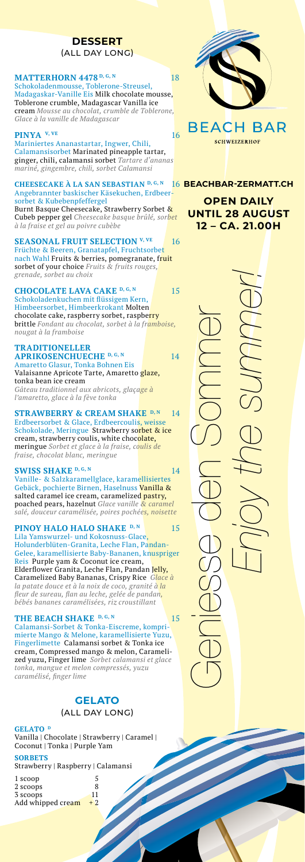## **DESSERT**  (ALL DAY LONG)

#### **MATTERHORN 4478** D, G, N 18 Schokoladenmousse, Toblerone-Streusel, Madagaskar-Vanille Eis Milk chocolate mousse, Toblerone crumble, Madagascar Vanilla ice cream *Mousse au chocolat, crumble de Toblerone, Glace à la vanille de Madagascar*

### **PINYA** <sup>V, VE</sup> 16

Mariniertes Ananastartar, Ingwer, Chili, Calamansisorbet Marinated pineapple tartar, ginger, chili, calamansi sorbet *Tartare d'ananas mariné, gingembre, chili, sorbet Calamansi*

#### **CHEESECAKE À LA SAN SEBASTIAN** D, G, N Angebrannter baskischer Käsekuchen, Erdbeer sorbet & Kubebenpfeffergel

Burnt Basque Cheesecake, Strawberry Sorbet & Cubeb pepper gel *Cheesecake basque brûlé, sorbet à la fraise et gel au poivre cubèbe*

**SEASONAL FRUIT SELECTION V, VE** 16 Früchte & Beeren, Granatapfel, Fruchtsorbet nach Wahl Fruits & berries, pomegranate, f<mark>ruit</mark> sorbet of your choice *Fruits & fruits rouges, grenade, sorbet au choix*

### **CHOCOLATE LAVA CAKE** <sup>D, G, N</sup> 15<br>Schokoladenkuchen mit flüssigem Kern, Himbeersorbet, Himbeerkrokant Molten chocolate cake, raspberry sorbet, raspbe<mark>rry</mark> brittle *Fondant au chocolat, sorbet à la framboise, nougat à la framboise*

**TRADITIONELLER APRIKOSENCHUECHE** D, G, N 14 Amaretto Glasur, Tonka Bohnen Eis Valaisanne Apricote Tarte, Amaretto glaze, tonka bean ice cream *Gâteau traditionnel aux abricots, glaçage à l'amaretto, glace à la fève tonka*

**STRAWBERRY & CREAM SHAKE D, N** 14 Erdbeersorbet & Glace, Erdbeercoulis, weisse Schokolade, Meringue Strawberry sorbet & ice cream, strawberry coulis, white choc<mark>olate,</mark> meringue *Sorbet et glace à la fraise, coulis de fraise, chocolat blanc, meringue* 

### **SWISS SHAKE D, G, N** 14

Vanille- & Salzkaramellglace, karamellisiertes Gebäck, pochierte Birnen, Haselnuss Vanilla & salted caramel ice cream, caramelized pastry, poached pears, hazelnut *Glace vanille & caramel salé, douceur caramélisée, poires pochées, noisette*

**PINOY HALO HALO SHAKE** D, N 15 Lila Yamswurzel- und Kokosnuss-Glace, Holunderblüten-Granita, Leche Flan, Pandan-Gelee, karamellisierte Baby-Bananen, knuspriger Reis Purple yam & Coconut ice cream, Elderflower Granita, Leche Flan, Pandan <mark>Jelly,</mark> Caramelized Baby Bananas, Crispy Rice *Glace à la patate douce et à la noix de coco, granité à la fleur de sureau, flan au leche, gelée de pandan, bébés bananes caramélisées, riz croustillant*

### THE BEACH SHAKE D, G, N 15

Calamansi-Sorbet & Tonka-Eiscreme, kompri mierte Mango & Melone, karamellisierte Yuzu, Fingerlimette Calamansi sorbet & Tonka ice cream, Compressed mango & melon, Carameli zed yuzu, Finger lime *Sorbet calamansi et glace tonka, mangue et melon compressés, yuzu caramélisé, finger lime* 

### **GELATO** (ALL DAY LONG)

### GELATO<sup>D</sup>

Vanilla | Chocolate | Strawberry | Caramel | Coconut | Tonka | Purple Yam **SORBETS** 

Strawberry | Raspberry | Calamansi

- 1 scoop 5  $\frac{8}{11}$
- 2 scoops 3 scoops
- Add whipped cream  $+2$



# BEACH BAR **SCHWEIZERHOP**

**BEACHBAR-ZERMATT.CH**

**OPEN DAILY UNTIL 28 AUGUST 12 – CA. 21.00H**

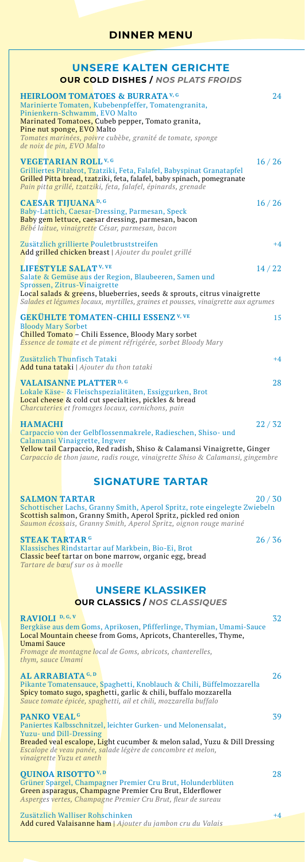| <b>OUR COLD DISHES / NOS PLATS FROIDS</b>                                                                                                                                                                                                                                        |         |
|----------------------------------------------------------------------------------------------------------------------------------------------------------------------------------------------------------------------------------------------------------------------------------|---------|
|                                                                                                                                                                                                                                                                                  |         |
| <b>HEIRLOOM TOMATOES &amp; BURRATA V, G</b><br>Marinierte Tomaten, Kubebenpfeffer, Tomatengranita,                                                                                                                                                                               | 24      |
| Pinienkern-Schwamm, EVO Malto<br>Marinated Tomatoes, Cubeb pepper, Tomato granita,<br>Pine nut sponge, EVO Malto                                                                                                                                                                 |         |
| Tomates marinées, poivre cubèbe, granité de tomate, sponge<br>de noix de pin, EVO Malto                                                                                                                                                                                          |         |
| <b>VEGETARIAN ROLL V, G</b><br>Grilliertes Pitabrot, Tzatziki, Feta, Falafel, Babyspinat Granatapfel<br>Grilled Pitta bread, tzatziki, feta, falafel, baby spinach, pomegranate<br>Pain pitta grillé, tzatziki, feta, falafel, épinards, grenade                                 | 16 / 26 |
| <b>CAESAR TIJUANA</b> D, G<br>Baby-Lattich, Caesar-Dressing, Parmesan, Speck<br>Baby gem lettuce, caesar dressing, parmesan, bacon<br>Bébé laitue, vinaigrette César, parmesan, bacon                                                                                            | 16/26   |
| Zusätzlich grillierte Pouletbruststreifen<br>Add grilled chicken breast   Ajouter du poulet grillé                                                                                                                                                                               | $+4$    |
| LIFESTYLE SALAT <sup>V, VE</sup><br>Salate & Gemüse aus der Region, Blaubeeren, Samen und                                                                                                                                                                                        | 14/22   |
| Sprossen, Zitrus-Vinaigrette<br>Loc <mark>al salads &amp; gre</mark> ens, blueberries, seeds & sprouts, citrus vinaigrette<br>Salades et légumes locaux, myrtilles, graines et pousses, vinaigrette aux agrumes                                                                  |         |
| <b>GEKÜHLTE TOMATEN-CHILI ESSENZ V, VE</b><br><b>Bloody Mary Sorbet</b>                                                                                                                                                                                                          | 15      |
| Chilled Tomato - Chili Essence, Bloody Mary sorbet<br>Essence de tomate et de piment réfrigérée, sorbet Bloody Mary                                                                                                                                                              |         |
| Zusätzlich Thunfisch Tataki<br><b>Add tuna tataki</b>   Ajouter du thon tataki                                                                                                                                                                                                   | $+4$    |
| <b>VALAISANNE PLATTER D, G</b><br>Lokale Käse- & Fleischspezialitäten, Essiggurken, Brot<br>Local cheese & cold cut specialties, pickles & bread<br>Charcuteries et fromages locaux, cornichons, pain                                                                            | 28      |
| <b>HAMACHI</b><br>Carpaccio von der Gelbflossenmakrele, Radieschen, Shiso- und                                                                                                                                                                                                   | 22/32   |
| Calamansi Vinaigrette, Ingwer<br>Yellow tail Carpaccio, Red radish, Shiso & Calamansi Vinaigrette, Ginger<br>Carpaccio de thon jaune, radis rouge, vinaigrette Shiso & Calamansi, gingembre                                                                                      |         |
| <b>SIGNATURE TARTAR</b>                                                                                                                                                                                                                                                          |         |
| <b>SALMON TARTAR</b><br>Schottischer Lachs, Granny Smith, Aperol Spritz, rote eingelegte Zwiebeln<br>Scottish salmon, Granny Smith, Aperol Spritz, pickled red onion<br><b>Saumon écossais, Granny Smith, Aperol Spritz, oignon rouge mariné</b>                                 | 20/30   |
| <b>STEAK TARTAR G</b><br>Klassisches Rindstartar auf Markbein, Bio-Ei, Brot<br>Classic beef tartar on bone marrow, organic egg, bread<br>Tartare de bœuf sur os à moelle                                                                                                         | 26/36   |
|                                                                                                                                                                                                                                                                                  |         |
| <b>UNSERE KLASSIKER</b><br><b>OUR CLASSICS / NOS CLASSIQUES</b>                                                                                                                                                                                                                  |         |
| RAVIOLI <sup>D, G, V</sup><br>Bergkäse aus dem Goms, Aprikosen, Pfifferlinge, Thymian, Umami-Sauce<br>Local Mountain cheese from Goms, Apricots, Chanterelles, Thyme,<br>Umami Sauce                                                                                             | 32      |
| Fromage de montagne local de Goms, abricots, chanterelles,<br>thym, sauce Umami                                                                                                                                                                                                  |         |
| AL ARRABIATA <sup>G, D</sup><br>Pikante Tomatensauce, Spaghetti, Knoblauch & Chili, Büffelmozzarella<br>Spicy tomato sugo, spaghetti, garlic & chili, buffalo mozzarella<br>Sauce tomate épicée, spaghetti, ail et chili, mozzarella buffalo                                     | 26      |
| <b>PANKO VEAL<sup>G</sup></b>                                                                                                                                                                                                                                                    | 39      |
| Paniertes Kalbsschnitzel, leichter Gurken- und Melonensalat,<br>Yuzu- und Dill-Dressing<br><b>Breaded veal escalope, Light cucumber &amp; melon salad, Yuzu &amp; Dill Dressing</b><br>Escalope de veau panée, salade légère de concombre et melon,<br>vinaigrette Yuzu et aneth |         |
| <b>OUINOA RISOTTO</b> V, D<br>Grüner Spargel, Champagner Premier Cru Brut, Holunderblüten                                                                                                                                                                                        | 28      |

Zusätzlich Walliser Rohschinken +4 Add cured Valaisanne ham | *Ajouter du jambon cru du Valais*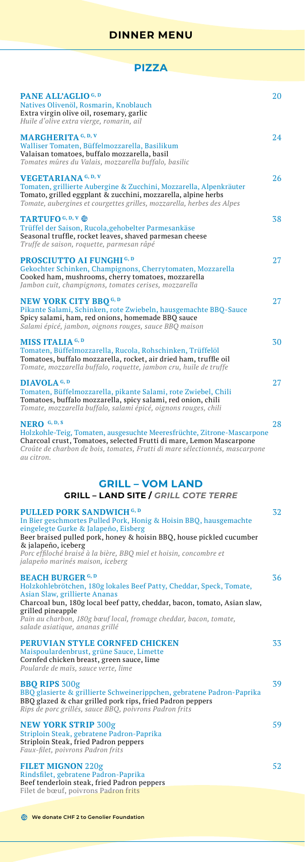|  | ٠ | . . |
|--|---|-----|

| <b>PIZZA</b>                                                                                                                                                                                                                                                                                                                                    |    |
|-------------------------------------------------------------------------------------------------------------------------------------------------------------------------------------------------------------------------------------------------------------------------------------------------------------------------------------------------|----|
| <b>PANE ALL'AGLIO</b> <sup>G, D</sup><br>Natives Olivenöl, Rosmarin, Knoblauch<br>Extra virgin olive oil, rosemary, garlic<br>Huile d'olive extra vierge, romarin, ail                                                                                                                                                                          | 20 |
| <b>MARGHERITA</b> G, D, V<br>Walliser Tomaten, Büffelmozzarella, Basilikum<br>Valaisan tomatoes, buffalo mozzarella, basil<br>Tomates mûres du Valais, mozzarella buffalo, basilic                                                                                                                                                              | 24 |
| <b>VEGETARIANA</b> G, D, V<br>Tomaten, grillierte Aubergine & Zucchini, Mozzarella, Alpenkräuter<br>Tomato, grilled eggplant & zucchini, mozzarella, alpine herbs<br>Tomate, aubergines et courgettes grilles, mozzarella, herbes des Alpes                                                                                                     | 26 |
| <b>TARTUFO</b> G, D, V<br>Trüffel der Saison, Rucola, gehobelter Parmesankäse<br>Seasonal truffle, rocket leaves, shaved parmesan cheese<br>Truffe de saison, roquette, parmesan râpé                                                                                                                                                           | 38 |
| <b>PROSCIUTTO AI FUNGHI G, D</b><br>Gekochter Schinken, Champignons, Cherrytomaten, Mozzarella<br>Cooked ham, mushrooms, cherry tomatoes, mozzarella<br>Jambon cuit, champignons, tomates cerises, mozzarella                                                                                                                                   | 27 |
| <b>NEW YORK CITY BBO</b> <sup>G, D</sup><br>Pikante Salami, Schinken, rote Zwiebeln, hausgemachte BBQ-Sauce<br>Spicy salami, ham, red onions, homemade BBQ sauce<br>Salami épicé, jambon, oignons rouges, sauce BBQ maison                                                                                                                      | 27 |
| MISS ITALIA <sup>G, D</sup><br>Tomaten, Büffelmozzarella, Rucola, Rohschinken, Trüffelöl<br>Tomatoes, buffalo mozzarella, rocket, air dried ham, truffle oil<br>Tomate, mozzarella buffalo, roquette, jambon cru, huile de truffe                                                                                                               | 30 |
| DIAVOLA <sup>G, D</sup><br>Tomaten, Büffelmozzarella, pikante Salami, rote Zwiebel, Chili<br>Tomatoes, buffalo mozzarella, spicy salami, red onion, chili<br>Tomate, mozzarella buffalo, salami épicé, oignons rouges, chili                                                                                                                    | 27 |
| <b>NERO</b> $G, D, S$<br>Holzkohle-Teig, Tomaten, ausgesuchte Meeresfrüchte, Zitrone-Mascarpone<br>Charcoal crust, Tomatoes, selected Frutti di mare, Lemon Mascarpone<br>Croûte de charbon de bois, tomates, Frutti di mare sélectionnés, mascarpone<br>au citron.                                                                             | 28 |
| <b>GRILL - VOM LAND</b><br><b>GRILL – LAND SITE /</b> GRILL COTE TERRE                                                                                                                                                                                                                                                                          |    |
| PULLED PORK SANDWICH G, D<br>In Bier geschmortes Pulled Pork, Honig & Hoisin BBQ, hausgemachte<br>eingelegte Gurke & Jalapeño, Eisberg<br>Beer braised pulled pork, honey & hoisin BBQ, house pickled cucumber<br>& jalapeño, iceberg<br>Porc effiloché braisé à la bière, BBQ miel et hoisin, concombre et<br>jalapeño marinés maison, iceberg | 32 |
| <b>BEACH BURGER G, D</b><br>Holzkohlebrötchen, 180g lokales Beef Patty, Cheddar, Speck, Tomate,<br>Asian Slaw, grillierte Ananas<br>Charcoal bun, 180g local beef patty, cheddar, bacon, tomato, Asian slaw,<br>grilled pineapple<br>Pain au charbon, 180g bœuf local, fromage cheddar, bacon, tomate,<br>salade asiatique, ananas grillé       | 36 |
| <b>PERUVIAN STYLE CORNFED CHICKEN</b><br>Maispoulardenbrust, grüne Sauce, Limette<br>Cornfed chicken breast, green sauce, lime<br>Poularde de maïs, sauce verte, lime                                                                                                                                                                           | 33 |
| <b>BBO RIPS</b> 300g<br>BBO glasierte & grillierte Schweinerippchen, gebratene Padron-Paprika<br>BBQ glazed & char grilled pork rips, fried Padron peppers<br>Rips de porc grillés, sauce BBQ, poivrons Padron frits                                                                                                                            | 39 |
| <b>NEW YORK STRIP 300g</b><br>Striploin Steak, gebratene Padron-Paprika<br>Striploin Steak, fried Padron peppers<br>Faux-filet, poivrons Padron frits                                                                                                                                                                                           | 59 |
| <b>FILET MIGNON 220g</b><br>Rindsfilet, gebratene Padron-Paprika<br>Beef tenderloin steak, fried Padron peppers<br>Filet de bœuf, poivrons Padron frits                                                                                                                                                                                         | 52 |

**We donate CHF 2 to Genolier Foundation**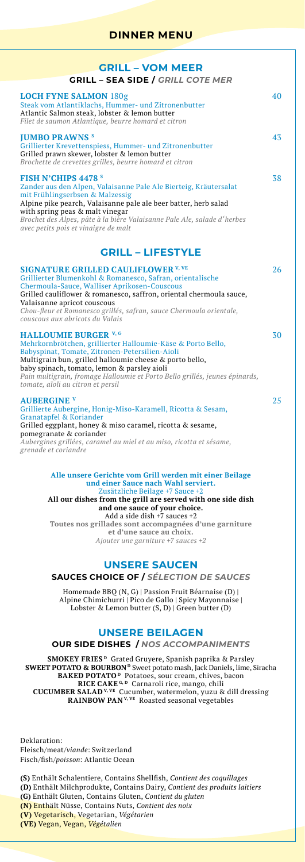## **DINNER MENU**

| <b>GRILL - VOM MEER</b>                                                                                                                                                                                                                                                                                                                                                     |    |
|-----------------------------------------------------------------------------------------------------------------------------------------------------------------------------------------------------------------------------------------------------------------------------------------------------------------------------------------------------------------------------|----|
| <b>GRILL - SEA SIDE / GRILL COTE MER</b>                                                                                                                                                                                                                                                                                                                                    |    |
| <b>LOCH FYNE SALMON 180g</b><br>Steak vom Atlantiklachs, Hummer- und Zitronenbutter<br>Atlantic Salmon steak, lobster & lemon butter<br>Filet de saumon Atlantique, beurre homard et citron                                                                                                                                                                                 | 40 |
| <b>IUMBO PRAWNS S</b><br>Grillierter Krevettenspiess, Hummer- und Zitronenbutter<br>Grilled prawn skewer, lobster & lemon butter<br>Brochette de crevettes grilles, beurre homard et citron                                                                                                                                                                                 | 43 |
| <b>FISH N'CHIPS 4478 s</b><br>Zander aus den Alpen, Valaisanne Pale Ale Bierteig, Kräutersalat<br>mit Frühlingserbsen & Malzessig<br>Alpine pike pearch, Valaisanne pale ale beer batter, herb salad<br>with spring peas & malt vinegar<br>Brochet des Alpes, pâte à la bière Valaisanne Pale Ale, salade d'herbes<br>avec petits pois et vinaigre de malt                  | 38 |
| <b>GRILL - LIFESTYLE</b>                                                                                                                                                                                                                                                                                                                                                    |    |
| <b>SIGNATURE GRILLED CAULIFLOWER V, VE</b><br>Grillierter Blumenkohl & Romanesco, Safran, orientalische<br>Chermoula-Sauce, Walliser Aprikosen-Couscous<br>Grilled cauliflower & romanesco, saffron, oriental chermoula sauce,<br>Valaisanne apricot couscous<br>Chou-fleur et Romanesco grillés, safran, sauce Chermoula orientale,<br>couscous aux abricots du Valais     | 26 |
| <b>HALLOUMIE BURGER V, G</b><br>Mehrkornbrötchen, grillierter Halloumie-Käse & Porto Bello,<br>Babyspinat, Tomate, Zitronen-Petersilien-Aioli<br>Multigrain bun, grilled halloumie cheese & porto bello,<br>baby spinach, tomato, lemon & parsley aioli<br>Pain multigrain, fromage Halloumie et Porto Bello grillés, jeunes épinards,<br>tomate, aïoli au citron et persil | 30 |
| <b>AUBERGINE V</b><br>Grillierte Aubergine, Honig-Miso-Karamell, Ricotta & Sesam,<br>Granatapfel & Koriander<br>Grilled eggplant, honey & miso caramel, ricotta & sesame,<br>pomegranate & coriander<br>Aubergines grillées, caramel au miel et au miso, ricotta et sésame,<br>grenade et coriandre                                                                         | 25 |
| Alle unsere Gerichte vom Grill werden mit einer Beilage<br>und einer Sauce nach Wahl serviert.<br>Zusätzliche Beilage +7 Sauce +2                                                                                                                                                                                                                                           |    |

Zusätzliche Beilage +7 Sauce +2 **All our dishes from the grill are served with one side dish and one sauce of your choice.** Add a side dish +7 sauces +2 **Toutes nos grillades sont accompagnées d'une garniture et d'une sauce au choix.**  *Ajouter une garniture +7 sauces +2*

# **UNSERE SAUCEN**

# **SAUCES CHOICE OF /** *SÉLECTION DE SAUCES*

Homemade BBQ (N, G) | Passion Fruit Béarnaise (D) | Alpine Chimichurri | Pico de Gallo | Spicy Mayonnaise | Lobster & Lemon butter (S, D) | Green butter (D)

# **UNSERE BEILAGEN**

### **OUR SIDE DISHES /** *NOS ACCOMPANIMENTS*

**SMOKEY FRIES D** Grated Gruyere, Spanish paprika & Parsley **SWEET POTATO & BOURBON**<sup>D</sup> Sweet potato mash, Jack Daniels, lime, Siracha **BAKED POTATO D** Potatoes, sour cream, chives, bacon **RICE CAKE G, D** Carnaroli rice, mango, chili **CUCUMBER SALAD V, VE** Cucumber, watermelon, yuzu & dill dressing **RAINBOW PAN V, VE** Roasted seasonal vegetables

Deklaration: Fleisch/meat/*viande*: Switzerland Fisch/fish/*poisson*: Atlantic Ocean

**(S)** Enthält Schalentiere, Contains Shellfish, *Contient des coquillages* **(D)** Enthält Milchprodukte, Contains Dairy, *Contient des produits laitiers* **(G)** Enthält Gluten, Contains Gluten, *Contient du gluten* **(N)** Enthält Nüsse, Contains Nuts, *Contient des noix* **(V)** Vegetarisch, Vegetarian, *Végétarien* **(VE)** Vegan, Vegan, *Végétalien*